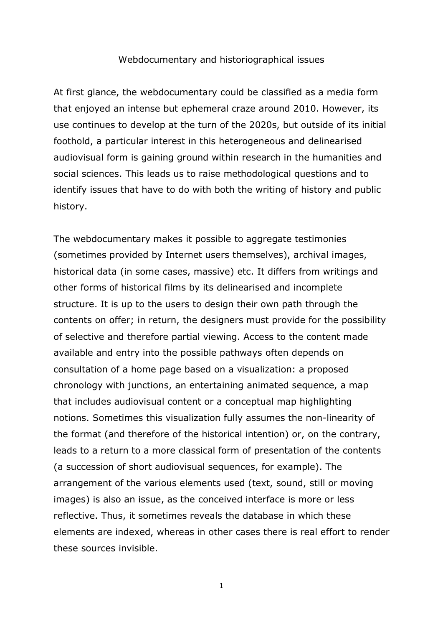## Webdocumentary and historiographical issues

At first glance, the webdocumentary could be classified as a media form that enjoyed an intense but ephemeral craze around 2010. However, its use continues to develop at the turn of the 2020s, but outside of its initial foothold, a particular interest in this heterogeneous and delinearised audiovisual form is gaining ground within research in the humanities and social sciences. This leads us to raise methodological questions and to identify issues that have to do with both the writing of history and public history.

The webdocumentary makes it possible to aggregate testimonies (sometimes provided by Internet users themselves), archival images, historical data (in some cases, massive) etc. It differs from writings and other forms of historical films by its delinearised and incomplete structure. It is up to the users to design their own path through the contents on offer; in return, the designers must provide for the possibility of selective and therefore partial viewing. Access to the content made available and entry into the possible pathways often depends on consultation of a home page based on a visualization: a proposed chronology with junctions, an entertaining animated sequence, a map that includes audiovisual content or a conceptual map highlighting notions. Sometimes this visualization fully assumes the non-linearity of the format (and therefore of the historical intention) or, on the contrary, leads to a return to a more classical form of presentation of the contents (a succession of short audiovisual sequences, for example). The arrangement of the various elements used (text, sound, still or moving images) is also an issue, as the conceived interface is more or less reflective. Thus, it sometimes reveals the database in which these elements are indexed, whereas in other cases there is real effort to render these sources invisible.

1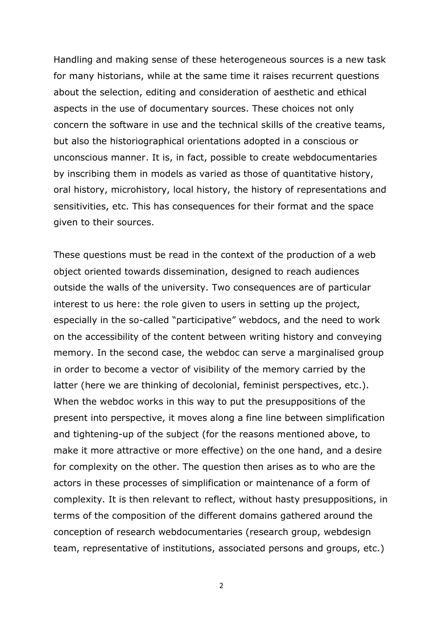Handling and making sense of these heterogeneous sources is a new task for many historians, while at the same time it raises recurrent questions about the selection, editing and consideration of aesthetic and ethical aspects in the use of documentary sources. These choices not only concern the software in use and the technical skills of the creative teams, but also the historiographical orientations adopted in a conscious or unconscious manner. It is, in fact, possible to create webdocumentaries by inscribing them in models as varied as those of quantitative history, oral history, microhistory, local history, the history of representations and sensitivities, etc. This has consequences for their format and the space given to their sources.

These questions must be read in the context of the production of a web object oriented towards dissemination, designed to reach audiences outside the walls of the university. Two consequences are of particular interest to us here: the role given to users in setting up the project, especially in the so-called "participative" webdocs, and the need to work on the accessibility of the content between writing history and conveying memory. In the second case, the webdoc can serve a marginalised group in order to become a vector of visibility of the memory carried by the latter (here we are thinking of decolonial, feminist perspectives, etc.). When the webdoc works in this way to put the presuppositions of the present into perspective, it moves along a fine line between simplification and tightening-up of the subject (for the reasons mentioned above, to make it more attractive or more effective) on the one hand, and a desire for complexity on the other. The question then arises as to who are the actors in these processes of simplification or maintenance of a form of complexity. It is then relevant to reflect, without hasty presuppositions, in terms of the composition of the different domains gathered around the conception of research webdocumentaries (research group, webdesign team, representative of institutions, associated persons and groups, etc.)

2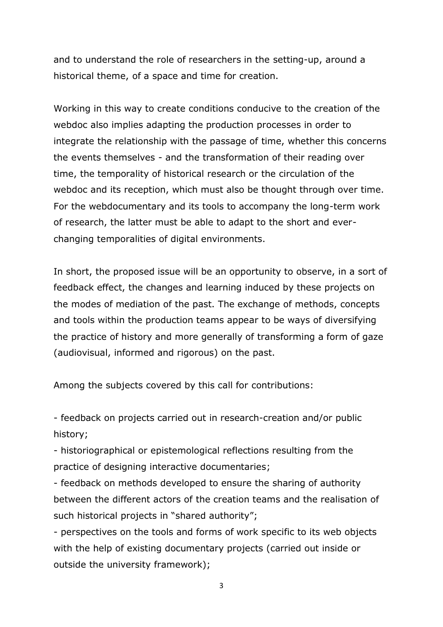and to understand the role of researchers in the setting-up, around a historical theme, of a space and time for creation.

Working in this way to create conditions conducive to the creation of the webdoc also implies adapting the production processes in order to integrate the relationship with the passage of time, whether this concerns the events themselves - and the transformation of their reading over time, the temporality of historical research or the circulation of the webdoc and its reception, which must also be thought through over time. For the webdocumentary and its tools to accompany the long-term work of research, the latter must be able to adapt to the short and everchanging temporalities of digital environments.

In short, the proposed issue will be an opportunity to observe, in a sort of feedback effect, the changes and learning induced by these projects on the modes of mediation of the past. The exchange of methods, concepts and tools within the production teams appear to be ways of diversifying the practice of history and more generally of transforming a form of gaze (audiovisual, informed and rigorous) on the past.

Among the subjects covered by this call for contributions:

- feedback on projects carried out in research-creation and/or public history;

- historiographical or epistemological reflections resulting from the practice of designing interactive documentaries;

- feedback on methods developed to ensure the sharing of authority between the different actors of the creation teams and the realisation of such historical projects in "shared authority";

- perspectives on the tools and forms of work specific to its web objects with the help of existing documentary projects (carried out inside or outside the university framework);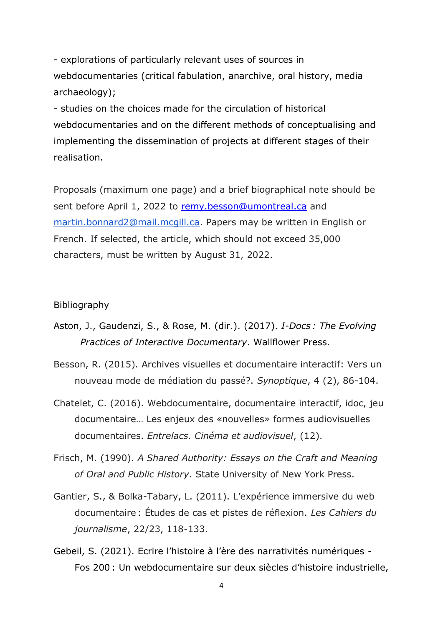- explorations of particularly relevant uses of sources in webdocumentaries (critical fabulation, anarchive, oral history, media archaeology);

- studies on the choices made for the circulation of historical webdocumentaries and on the different methods of conceptualising and implementing the dissemination of projects at different stages of their realisation.

Proposals (maximum one page) and a brief biographical note should be sent before April 1, 2022 to [remy.besson@umontreal.ca](mailto:remy.besson@umontreal.ca) and [martin.bonnard2@mail.mcgill.ca.](mailto:martin.bonnard2@mail.mcgill.ca) Papers may be written in English or French. If selected, the article, which should not exceed 35,000 characters, must be written by August 31, 2022.

## Bibliography

- Aston, J., Gaudenzi, S., & Rose, M. (dir.). (2017). *I-Docs : The Evolving Practices of Interactive Documentary*. Wallflower Press.
- Besson, R. (2015). Archives visuelles et documentaire interactif: Vers un nouveau mode de médiation du passé?. *Synoptique*, 4 (2), 86-104.
- Chatelet, C. (2016). Webdocumentaire, documentaire interactif, idoc, jeu documentaire… Les enjeux des «nouvelles» formes audiovisuelles documentaires. *Entrelacs. Cinéma et audiovisuel*, (12).
- Frisch, M. (1990). *A Shared Authority: Essays on the Craft and Meaning of Oral and Public History*. State University of New York Press.
- Gantier, S., & Bolka-Tabary, L. (2011). L'expérience immersive du web documentaire : Études de cas et pistes de réflexion. *Les Cahiers du journalisme*, 22/23, 118-133.
- Gebeil, S. (2021). Ecrire l'histoire à l'ère des narrativités numériques Fos 200 : Un webdocumentaire sur deux siècles d'histoire industrielle,